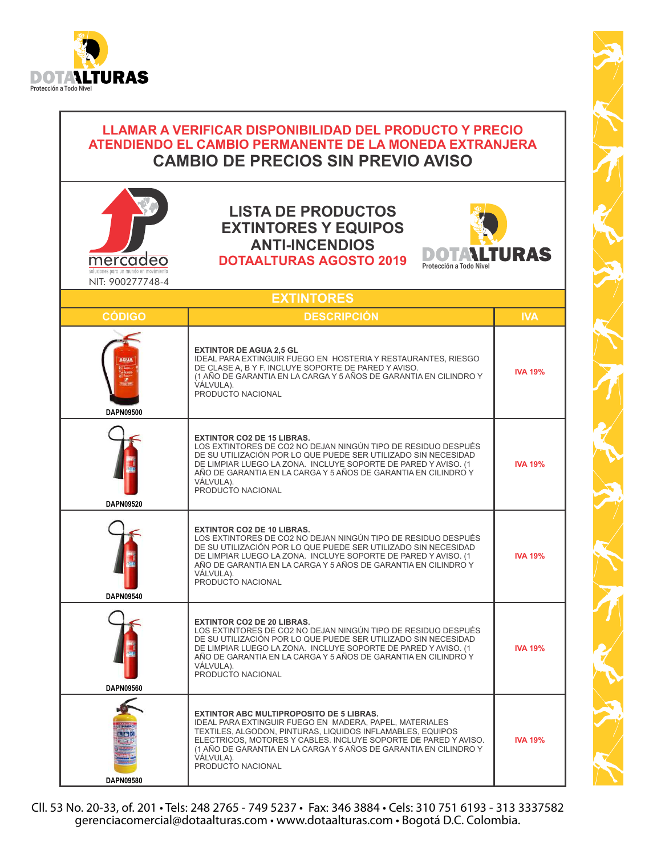

## MESSING AND SECRET CONSULTER DE CAMBIO DE PRECIDER SIN PREVINCIAL CAMBIO DE PRECIDER SIN PREVINCIAL CAMBIO DE PRECIDERE SE PRODUCTOS<br>
MITHORES Y POLOTALITURAS AGOSTO 2019<br>
MITHORES Y POLOTALITURAS AGOSTO 2019<br>
MITHORES Y **LLAMAR A VERIFICAR DISPONIBILIDAD DEL PRODUCTO Y PRECIO ATENDIENDO EL CAMBIO PERMANENTE DE LA MONEDA EXTRANJERA CAMBIO DE PRECIOS SIN PREVIO AVISO LISTA DE PRODUCTOS EXTINTORES Y EQUIPOS ANTI-INCENDIOS** DOTALTURAS **DOTAALTURAS AGOSTO 2019** Protección a Todo Nivel NIT: 900277748-4**EXTINTORES CÓDIGO DESCRIPCIÓN IVA EXTINTOR DE AGUA 2,5 GL** IDEAL PARA EXTINGUIR FUEGO EN HOSTERIA Y RESTAURANTES, RIESGO DE CLASE A, B Y F. INCLUYE SOPORTE DE PARED Y AVISO. **IVA 19%** (1 AÑO DE GARANTIA EN LA CARGA Y 5 AÑOS DE GARANTIA EN CILINDRO Y VÁLVULA). PRODUCTO NACIONAL **DAPN09500 EXTINTOR CO2 DE 15 LIBRAS.**  LOS EXTINTORES DE CO2 NO DEJAN NINGÚN TIPO DE RESIDUO DESPUÉS DE SU UTILIZACIÓN POR LO QUE PUEDE SER UTILIZADO SIN NECESIDAD DE LIMPIAR LUEGO LA ZONA. INCLUYE SOPORTE DE PARED Y AVISO. (1 **IVA 19%** AÑO DE GARANTIA EN LA CARGA Y 5 AÑOS DE GARANTIA EN CILINDRO Y VÁLVULA). PRODUCTO NACIONAL **DAPN09520 EXTINTOR CO2 DE 10 LIBRAS.**  LOS EXTINTORES DE CO2 NO DEJAN NINGÚN TIPO DE RESIDUO DESPUÉS DE SU UTILIZACIÓN POR LO QUE PUEDE SER UTILIZADO SIN NECESIDAD DE LIMPIAR LUEGO LA ZONA. INCLUYE SOPORTE DE PARED Y AVISO. (1 **IVA 19%** AÑO DE GARANTIA EN LA CARGA Y 5 AÑOS DE GARANTIA EN CILINDRO Y VÁLVULA). PRODUCTO NACIONAL **DAPN09540 EXTINTOR CO2 DE 20 LIBRAS.**  LOS EXTINTORES DE CO2 NO DEJAN NINGÚN TIPO DE RESIDUO DESPUÉS DE SU UTILIZACIÓN POR LO QUE PUEDE SER UTILIZADO SIN NECESIDAD DE LIMPIAR LUEGO LA ZONA. INCLUYE SOPORTE DE PARED Y AVISO. (1 **IVA 19%** AÑO DE GARANTIA EN LA CARGA Y 5 AÑOS DE GARANTIA EN CILINDRO Y VÁLVULA). PRODUCTO NACIONAL **DAPN09560 EXTINTOR ABC MULTIPROPOSITO DE 5 LIBRAS.** IDEAL PARA EXTINGUIR FUEGO EN MADERA, PAPEL, MATERIALES TEXTILES, ALGODON, PINTURAS, LIQUIDOS INFLAMABLES, EQUIPOS ELECTRICOS, MOTORES Y CABLES. INCLUYE SOPORTE DE PARED Y AVISO. **IVA 19%** (1 AÑO DE GARANTIA EN LA CARGA Y 5 AÑOS DE GARANTIA EN CILINDRO Y VÁLVULA). PRODUCTO NACIONAL **DAPN09580**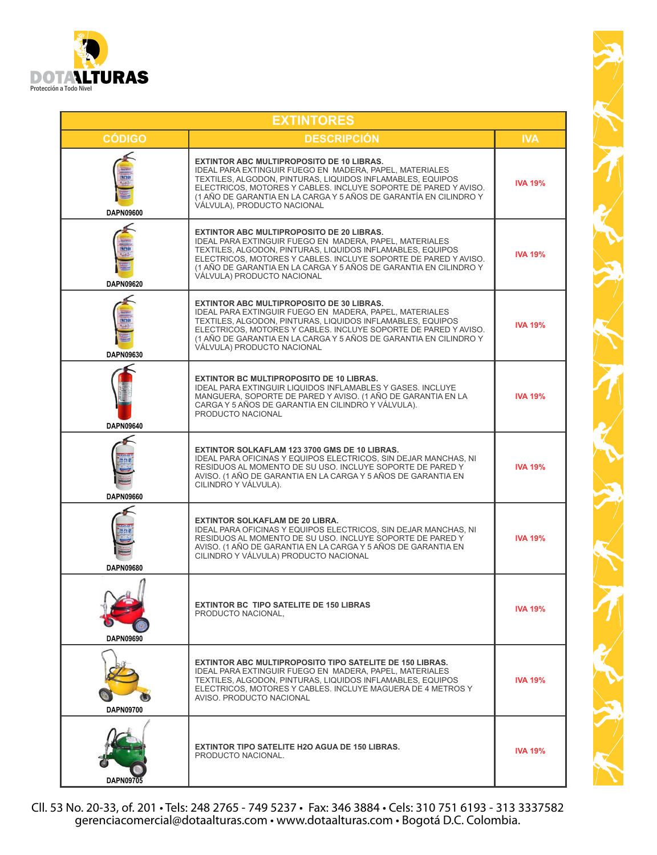

|                         | <b>EXTINTORES</b>                                                                                                                                                                                                                                                                                                                                      |                |
|-------------------------|--------------------------------------------------------------------------------------------------------------------------------------------------------------------------------------------------------------------------------------------------------------------------------------------------------------------------------------------------------|----------------|
| <b>CÓDIGO</b>           | <b>DESCRIPCIÓN</b>                                                                                                                                                                                                                                                                                                                                     | <b>IVA</b>     |
| acia<br>DAPN09600       | <b>EXTINTOR ABC MULTIPROPOSITO DE 10 LIBRAS.</b><br>IDEAL PARA EXTINGUIR FUEGO EN MADERA, PAPEL, MATERIALES<br>TEXTILES, ALGODON, PINTURAS, LIQUIDOS INFLAMABLES, EQUIPOS<br>ELECTRICOS, MOTORES Y CABLES. INCLUYE SOPORTE DE PARED Y AVISO.<br>(1 AÑO DE GARANTIA EN LA CARGA Y 5 AÑOS DE GARANTÍA EN CILINDRO Y<br>VÁLVULA), PRODUCTO NACIONAL       | <b>IVA 19%</b> |
| <b>DAPN09620</b>        | <b>EXTINTOR ABC MULTIPROPOSITO DE 20 LIBRAS.</b><br><b>IDEAL PARA EXTINGUIR FUEGO EN MADERA, PAPEL, MATERIALES</b><br>TEXTILES, ALGODON, PINTURAS, LIQUIDOS INFLAMABLES, EQUIPOS<br>ELECTRICOS, MOTORES Y CABLES. INCLUYE SOPORTE DE PARED Y AVISO.<br>(1 AÑO DE GARANTIA EN LA CARGA Y 5 AÑOS DE GARANTIA EN CILINDRO Y<br>VÁLVULA) PRODUCTO NACIONAL | <b>IVA 19%</b> |
| DAPN09630               | <b>EXTINTOR ABC MULTIPROPOSITO DE 30 LIBRAS.</b><br>IDEAL PARA EXTINGUIR FUEGO EN MADERA, PAPEL, MATERIALES<br>TEXTILES, ALGODON, PINTURAS, LIQUIDOS INFLAMABLES, EQUIPOS<br>ELECTRICOS, MOTORES Y CABLES. INCLUYE SOPORTE DE PARED Y AVISO.<br>(1 AÑO DE GARANTIA EN LA CARGA Y 5 AÑOS DE GARANTIA EN CILINDRO Y<br>VÁLVULA) PRODUCTO NACIONAL        | <b>IVA 19%</b> |
| <b>DAPN09640</b>        | <b>EXTINTOR BC MULTIPROPOSITO DE 10 LIBRAS.</b><br><b>IDEAL PARA EXTINGUIR LIQUIDOS INFLAMABLES Y GASES. INCLUYE</b><br>MANGUERA, SOPORTE DE PARED Y AVISO. (1 AÑO DE GARANTIA EN LA<br>CARGA Y 5 AÑOS DE GARANTIA EN CILINDRO Y VÁLVULA).<br>PRODUCTO NACIONAL                                                                                        | <b>IVA 19%</b> |
| 的树脂<br><b>DAPN09660</b> | EXTINTOR SOLKAFLAM 123 3700 GMS DE 10 LIBRAS.<br>IDEAL PARA OFICINAS Y EQUIPOS ELECTRICOS, SIN DEJAR MANCHAS, NI<br>RESIDUOS AL MOMENTO DE SU USO. INCLUYE SOPORTE DE PARED Y<br>AVISO. (1 AÑO DE GARANTIA EN LA CARGA Y 5 AÑOS DE GARANTIA EN<br>CILINDRO Y VÁLVULA).                                                                                 | <b>IVA 19%</b> |
| DAPN09680               | <b>EXTINTOR SOLKAFLAM DE 20 LIBRA.</b><br>IDEAL PARA OFICINAS Y EQUIPOS ELECTRICOS, SIN DEJAR MANCHAS, NI<br>RESIDUOS AL MOMENTO DE SU USO. INCLUYE SOPORTE DE PARED Y<br>AVISO. (1 AÑO DE GARANTIA EN LA CARGA Y 5 AÑOS DE GARANTIA EN<br>CILINDRO Y VÁLVULA) PRODUCTO NACIONAL                                                                       | <b>IVA 19%</b> |
| DAPN09690               | <b>EXTINTOR BC TIPO SATELITE DE 150 LIBRAS</b><br>PRODUCTO NACIONAL,                                                                                                                                                                                                                                                                                   | <b>IVA 19%</b> |
| DAPN09700               | <b>EXTINTOR ABC MULTIPROPOSITO TIPO SATELITE DE 150 LIBRAS.</b><br>IDEAL PARA EXTINGUIR FUEGO EN MADERA, PAPEL, MATERIALES<br>TEXTILES, ALGODON, PINTURAS, LIQUIDOS INFLAMABLES, EQUIPOS<br>ELECTRICOS, MOTORES Y CABLES. INCLUYE MAGUERA DE 4 METROS Y<br>AVISO. PRODUCTO NACIONAL                                                                    | <b>IVA 19%</b> |
| <b>DAPN09705</b>        | <b>EXTINTOR TIPO SATELITE H2O AGUA DE 150 LIBRAS.</b><br>PRODUCTO NACIONAL.                                                                                                                                                                                                                                                                            | <b>IVA 19%</b> |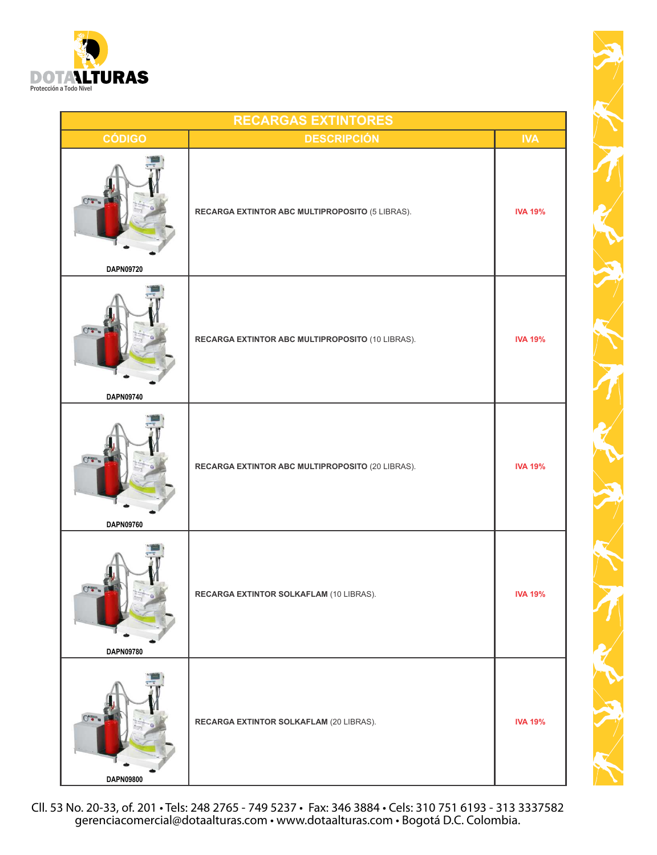

|                           | <b>RECARGAS EXTINTORES</b>                       |                |
|---------------------------|--------------------------------------------------|----------------|
| <b>CÓDIGO</b>             | <b>DESCRIPCIÓN</b>                               | <b>IVA</b>     |
|                           | RECARGA EXTINTOR ABC MULTIPROPOSITO (5 LIBRAS).  | <b>IVA 19%</b> |
| DAPN09720                 |                                                  |                |
| DAPN09740                 | RECARGA EXTINTOR ABC MULTIPROPOSITO (10 LIBRAS). | <b>IVA 19%</b> |
|                           |                                                  |                |
| $\circ$ .<br>DAPN09760    | RECARGA EXTINTOR ABC MULTIPROPOSITO (20 LIBRAS). | <b>IVA 19%</b> |
|                           |                                                  |                |
| $0 -$<br><b>DAPN09780</b> | RECARGA EXTINTOR SOLKAFLAM (10 LIBRAS).          | <b>IVA 19%</b> |
|                           |                                                  |                |
| $0 -$<br>DAPN09800        | RECARGA EXTINTOR SOLKAFLAM (20 LIBRAS).          | <b>IVA 19%</b> |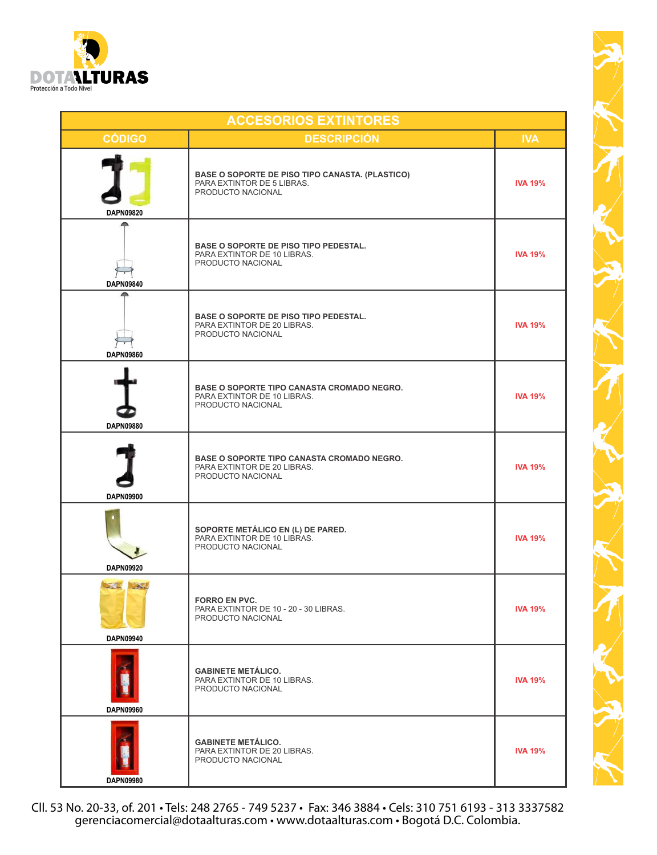

|                                | <b>ACCESORIOS EXTINTORES</b>                                                                              |                |
|--------------------------------|-----------------------------------------------------------------------------------------------------------|----------------|
| <b>CÓDIGO</b>                  | <b>DESCRIPCIÓN</b>                                                                                        | <b>IVA</b>     |
| DAPN09820                      | <b>BASE O SOPORTE DE PISO TIPO CANASTA. (PLASTICO)</b><br>PARA EXTINTOR DE 5 LIBRAS.<br>PRODUCTO NACIONAL | <b>IVA 19%</b> |
| <b>DAPN09840</b>               | <b>BASE O SOPORTE DE PISO TIPO PEDESTAL.</b><br>PARA EXTINTOR DE 10 LIBRAS.<br>PRODUCTO NACIONAL          | <b>IVA 19%</b> |
| <b>DAPN09860</b>               | <b>BASE O SOPORTE DE PISO TIPO PEDESTAL.</b><br>PARA EXTINTOR DE 20 LIBRAS.<br>PRODUCTO NACIONAL          | <b>IVA 19%</b> |
| <b>DAPN09880</b>               | <b>BASE O SOPORTE TIPO CANASTA CROMADO NEGRO.</b><br>PARA EXTINTOR DE 10 LIBRAS.<br>PRODUCTO NACIONAL     | <b>IVA 19%</b> |
| <b>DAPN09900</b>               | <b>BASE O SOPORTE TIPO CANASTA CROMADO NEGRO.</b><br>PARA EXTINTOR DE 20 LIBRAS.<br>PRODUCTO NACIONAL     | <b>IVA 19%</b> |
| DAPN09920                      | SOPORTE METÁLICO EN (L) DE PARED.<br>PARA EXTINTOR DE 10 LIBRAS.<br>PRODUCTO NACIONAL                     | <b>IVA 19%</b> |
| <b>ALL</b><br><b>DAPN09940</b> | <b>FORRO EN PVC.</b><br>PARA EXTINTOR DE 10 - 20 - 30 LIBRAS.<br>PRODUCTO NACIONAL                        | <b>IVA 19%</b> |
| <b>DAPN09960</b>               | <b>GABINETE METÁLICO.</b><br>PARA EXTINTOR DE 10 LIBRAS.<br>PRODUCTO NACIONAL                             | <b>IVA 19%</b> |
| <b>DAPN09980</b>               | <b>GABINETE METÁLICO.</b><br>PARA EXTINTOR DE 20 LIBRAS.<br>PRODUCTO NACIONAL                             | <b>IVA 19%</b> |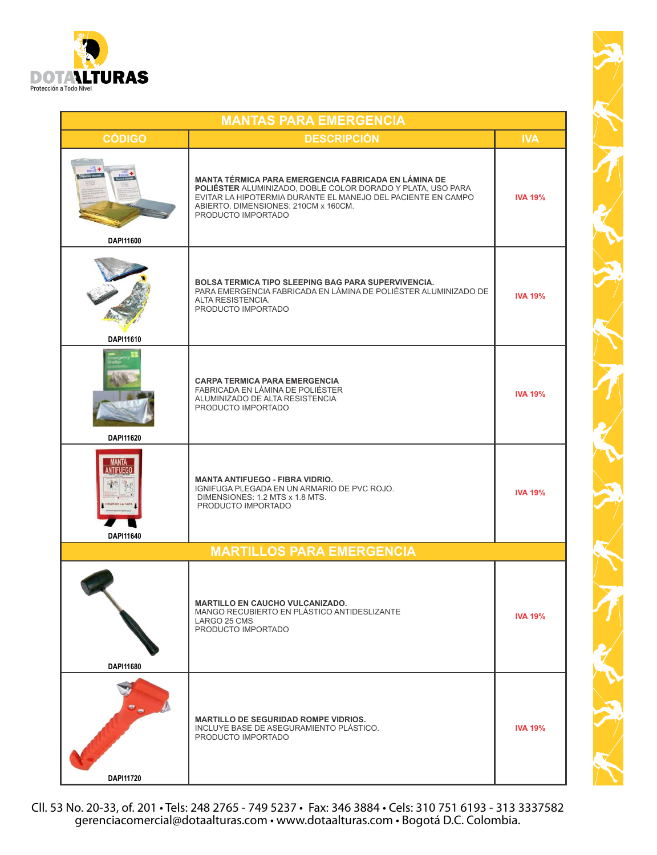

|                       | <b>MANTAS PARA EMERGENCIA</b>                                                                                                                                                                                                                     |                |
|-----------------------|---------------------------------------------------------------------------------------------------------------------------------------------------------------------------------------------------------------------------------------------------|----------------|
| <b>CÓDIGO</b>         | <b>DESCRIPCIÓN</b>                                                                                                                                                                                                                                | <b>IVA</b>     |
| DAPI11600             | MANTA TÉRMICA PARA EMERGENCIA FABRICADA EN LÁMINA DE<br>POLIÉSTER ALUMINIZADO, DOBLE COLOR DORADO Y PLATA, USO PARA<br>EVITAR LA HIPOTERMIA DURANTE EL MANEJO DEL PACIENTE EN CAMPO<br>ABIERTO. DIMENSIONES: 210CM x 160CM.<br>PRODUCTO IMPORTADO | <b>IVA 19%</b> |
| DAPI11610             | <b>BOLSA TERMICA TIPO SLEEPING BAG PARA SUPERVIVENCIA.</b><br>PARA EMERGENCIA FABRICADA EN LÁMINA DE POLIÉSTER ALUMINIZADO DE<br>ALTA RESISTENCIA.<br>PRODUCTO IMPORTADO                                                                          | <b>IVA 19%</b> |
| DAPI11620             | <b>CARPA TERMICA PARA EMERGENCIA</b><br>FABRICADA EN LÁMINA DE POLIÉSTER<br>ALUMINIZADO DE ALTA RESISTENCIA<br>PRODUCTO IMPORTADO                                                                                                                 | <b>IVA 19%</b> |
| NTIFUEGO<br>DAPI11640 | <b>MANTA ANTIFUEGO - FIBRA VIDRIO.</b><br>IGNIFUGA PLEGADA EN UN ARMARIO DE PVC ROJO.<br>DIMENSIONES: 1.2 MTS x 1.8 MTS.<br>PRODUCTO IMPORTADO                                                                                                    | <b>IVA 19%</b> |
|                       | <b>MARTILLOS PARA EMERGENCIA</b>                                                                                                                                                                                                                  |                |
| DAPI11680             | <b>MARTILLO EN CAUCHO VULCANIZADO.</b><br>MANGO RECUBIERTO EN PLÁSTICO ANTIDESLIZANTE<br>LARGO 25 CMS<br>PRODUCTO IMPORTADO                                                                                                                       | <b>IVA 19%</b> |
|                       | <b>MARTILLO DE SEGURIDAD ROMPE VIDRIOS.</b><br>INCLUYE BASE DE ASEGURAMIENTO PLÁSTICO.<br>PRODUCTO IMPORTADO                                                                                                                                      | <b>IVA 19%</b> |
| DAPI11720             |                                                                                                                                                                                                                                                   |                |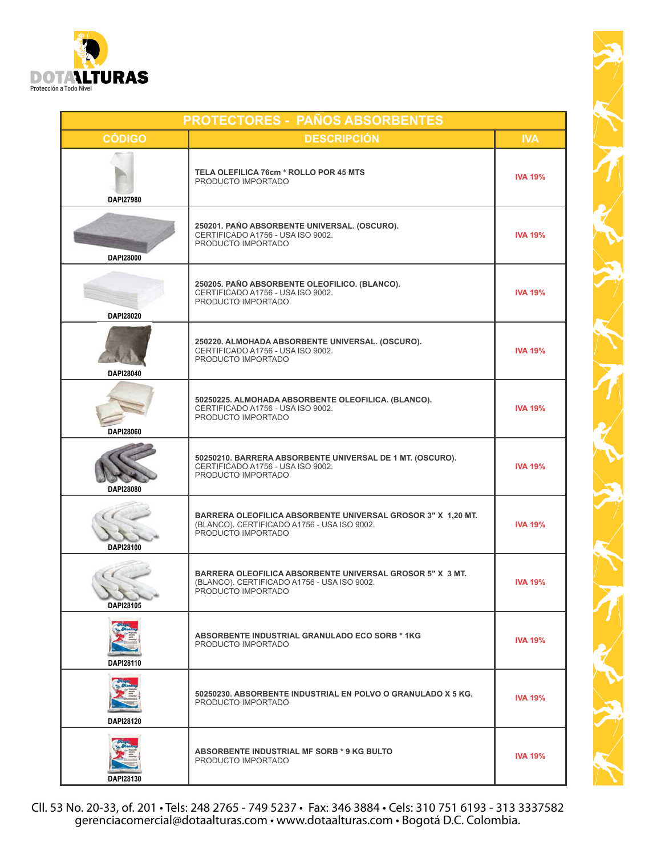

| <b>CÓDIGO</b>    | <b>DESCRIPCIÓN</b>                                                                                                                    | <b>IVA</b>     |
|------------------|---------------------------------------------------------------------------------------------------------------------------------------|----------------|
| <b>DAPI27980</b> | TELA OLEFILICA 76cm * ROLLO POR 45 MTS<br>PRODUCTO IMPORTADO                                                                          | <b>IVA 19%</b> |
| DAPI28000        | 250201. PAÑO ABSORBENTE UNIVERSAL. (OSCURO).<br>CERTIFICADO A1756 - USA ISO 9002.<br>PRODUCTO IMPORTADO                               | <b>IVA 19%</b> |
| DAPI28020        | 250205. PAÑO ABSORBENTE OLEOFILICO. (BLANCO).<br>CERTIFICADO A1756 - USA ISO 9002.<br>PRODUCTO IMPORTADO                              | <b>IVA 19%</b> |
| DAPI28040        | 250220. ALMOHADA ABSORBENTE UNIVERSAL. (OSCURO).<br>CERTIFICADO A1756 - USA ISO 9002.<br>PRODUCTO IMPORTADO                           | <b>IVA 19%</b> |
| DAPI28060        | 50250225. ALMOHADA ABSORBENTE OLEOFILICA. (BLANCO).<br>CERTIFICADO A1756 - USA ISO 9002.<br>PRODUCTO IMPORTADO                        | <b>IVA 19%</b> |
| <b>DAPI28080</b> | 50250210. BARRERA ABSORBENTE UNIVERSAL DE 1 MT. (OSCURO).<br>CERTIFICADO A1756 - USA ISO 9002.<br>PRODUCTO IMPORTADO                  | <b>IVA 19%</b> |
| DAPI28100        | BARRERA OLEOFILICA ABSORBENTE UNIVERSAL GROSOR 3" X 1,20 MT.<br>(BLANCO). CERTIFICADO A1756 - USA ISO 9002.<br>PRODUCTO IMPORTADO     | <b>IVA 19%</b> |
| DAPI28105        | <b>BARRERA OLEOFILICA ABSORBENTE UNIVERSAL GROSOR 5" X 3 MT.</b><br>(BLANCO). CERTIFICADO A1756 - USA ISO 9002.<br>PRODUCTO IMPORTADO | <b>IVA 19%</b> |
| DAPI28110        | ABSORBENTE INDUSTRIAL GRANULADO ECO SORB * 1KG<br>PRODUCTO IMPORTADO                                                                  | <b>IVA 19%</b> |
| DAPI28120        | 50250230. ABSORBENTE INDUSTRIAL EN POLVO O GRANULADO X 5 KG.<br>PRODUCTO IMPORTADO                                                    | <b>IVA 19%</b> |
| DAPI28130        | ABSORBENTE INDUSTRIAL MF SORB * 9 KG BULTO<br>PRODUCTO IMPORTADO                                                                      | <b>IVA 19%</b> |